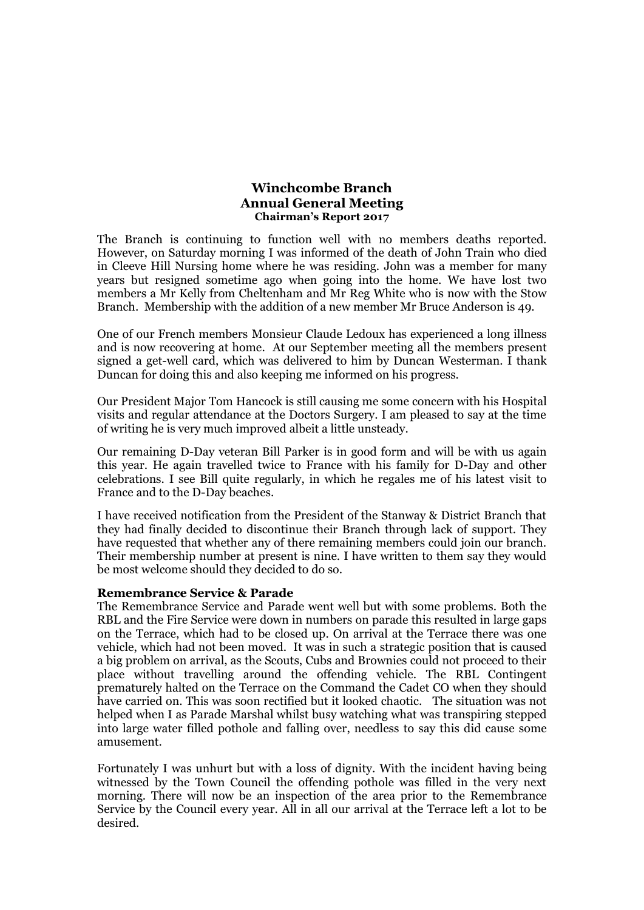### **Winchcombe Branch Annual General Meeting Chairman's Report 2017**

The Branch is continuing to function well with no members deaths reported. However, on Saturday morning I was informed of the death of John Train who died in Cleeve Hill Nursing home where he was residing. John was a member for many years but resigned sometime ago when going into the home. We have lost two members a Mr Kelly from Cheltenham and Mr Reg White who is now with the Stow Branch. Membership with the addition of a new member Mr Bruce Anderson is 49.

One of our French members Monsieur Claude Ledoux has experienced a long illness and is now recovering at home. At our September meeting all the members present signed a get-well card, which was delivered to him by Duncan Westerman. I thank Duncan for doing this and also keeping me informed on his progress.

Our President Major Tom Hancock is still causing me some concern with his Hospital visits and regular attendance at the Doctors Surgery. I am pleased to say at the time of writing he is very much improved albeit a little unsteady.

Our remaining D-Day veteran Bill Parker is in good form and will be with us again this year. He again travelled twice to France with his family for D-Day and other celebrations. I see Bill quite regularly, in which he regales me of his latest visit to France and to the D-Day beaches.

I have received notification from the President of the Stanway & District Branch that they had finally decided to discontinue their Branch through lack of support. They have requested that whether any of there remaining members could join our branch. Their membership number at present is nine. I have written to them say they would be most welcome should they decided to do so.

#### **Remembrance Service & Parade**

The Remembrance Service and Parade went well but with some problems. Both the RBL and the Fire Service were down in numbers on parade this resulted in large gaps on the Terrace, which had to be closed up. On arrival at the Terrace there was one vehicle, which had not been moved. It was in such a strategic position that is caused a big problem on arrival, as the Scouts, Cubs and Brownies could not proceed to their place without travelling around the offending vehicle. The RBL Contingent prematurely halted on the Terrace on the Command the Cadet CO when they should have carried on. This was soon rectified but it looked chaotic. The situation was not helped when I as Parade Marshal whilst busy watching what was transpiring stepped into large water filled pothole and falling over, needless to say this did cause some amusement.

Fortunately I was unhurt but with a loss of dignity. With the incident having being witnessed by the Town Council the offending pothole was filled in the very next morning. There will now be an inspection of the area prior to the Remembrance Service by the Council every year. All in all our arrival at the Terrace left a lot to be desired.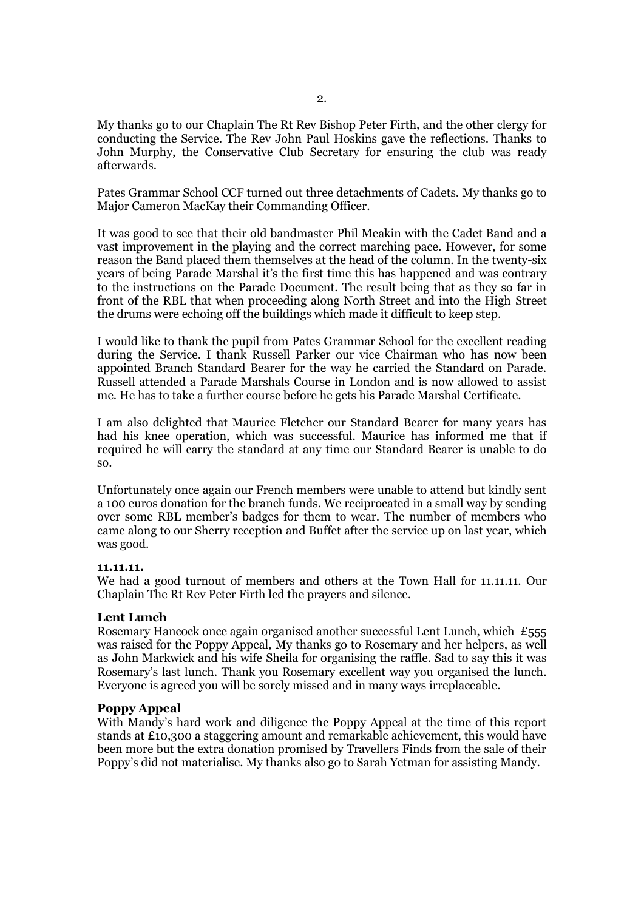My thanks go to our Chaplain The Rt Rev Bishop Peter Firth, and the other clergy for conducting the Service. The Rev John Paul Hoskins gave the reflections. Thanks to John Murphy, the Conservative Club Secretary for ensuring the club was ready afterwards.

Pates Grammar School CCF turned out three detachments of Cadets. My thanks go to Major Cameron MacKay their Commanding Officer.

It was good to see that their old bandmaster Phil Meakin with the Cadet Band and a vast improvement in the playing and the correct marching pace. However, for some reason the Band placed them themselves at the head of the column. In the twenty-six years of being Parade Marshal it's the first time this has happened and was contrary to the instructions on the Parade Document. The result being that as they so far in front of the RBL that when proceeding along North Street and into the High Street the drums were echoing off the buildings which made it difficult to keep step.

I would like to thank the pupil from Pates Grammar School for the excellent reading during the Service. I thank Russell Parker our vice Chairman who has now been appointed Branch Standard Bearer for the way he carried the Standard on Parade. Russell attended a Parade Marshals Course in London and is now allowed to assist me. He has to take a further course before he gets his Parade Marshal Certificate.

I am also delighted that Maurice Fletcher our Standard Bearer for many years has had his knee operation, which was successful. Maurice has informed me that if required he will carry the standard at any time our Standard Bearer is unable to do so.

Unfortunately once again our French members were unable to attend but kindly sent a 100 euros donation for the branch funds. We reciprocated in a small way by sending over some RBL member's badges for them to wear. The number of members who came along to our Sherry reception and Buffet after the service up on last year, which was good.

#### **11.11.11.**

We had a good turnout of members and others at the Town Hall for 11.11.11. Our Chaplain The Rt Rev Peter Firth led the prayers and silence.

#### **Lent Lunch**

Rosemary Hancock once again organised another successful Lent Lunch, which £555 was raised for the Poppy Appeal, My thanks go to Rosemary and her helpers, as well as John Markwick and his wife Sheila for organising the raffle. Sad to say this it was Rosemary's last lunch. Thank you Rosemary excellent way you organised the lunch. Everyone is agreed you will be sorely missed and in many ways irreplaceable.

#### **Poppy Appeal**

With Mandy's hard work and diligence the Poppy Appeal at the time of this report stands at £10,300 a staggering amount and remarkable achievement, this would have been more but the extra donation promised by Travellers Finds from the sale of their Poppy's did not materialise. My thanks also go to Sarah Yetman for assisting Mandy.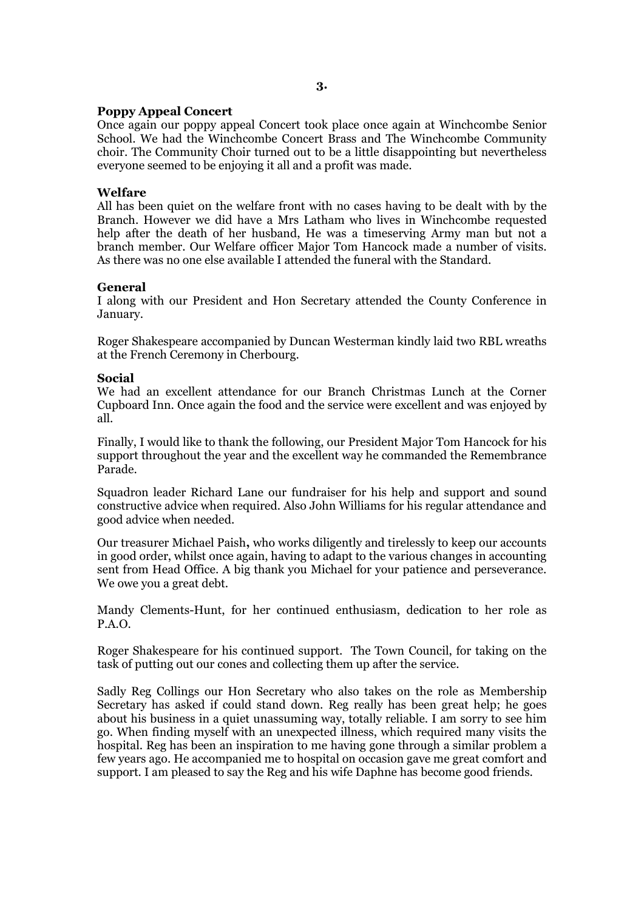## **Poppy Appeal Concert**

Once again our poppy appeal Concert took place once again at Winchcombe Senior School. We had the Winchcombe Concert Brass and The Winchcombe Community choir. The Community Choir turned out to be a little disappointing but nevertheless everyone seemed to be enjoying it all and a profit was made.

# **Welfare**

All has been quiet on the welfare front with no cases having to be dealt with by the Branch. However we did have a Mrs Latham who lives in Winchcombe requested help after the death of her husband, He was a timeserving Army man but not a branch member. Our Welfare officer Major Tom Hancock made a number of visits. As there was no one else available I attended the funeral with the Standard.

## **General**

I along with our President and Hon Secretary attended the County Conference in January.

Roger Shakespeare accompanied by Duncan Westerman kindly laid two RBL wreaths at the French Ceremony in Cherbourg.

# **Social**

We had an excellent attendance for our Branch Christmas Lunch at the Corner Cupboard Inn. Once again the food and the service were excellent and was enjoyed by all.

Finally, I would like to thank the following, our President Major Tom Hancock for his support throughout the year and the excellent way he commanded the Remembrance Parade.

Squadron leader Richard Lane our fundraiser for his help and support and sound constructive advice when required. Also John Williams for his regular attendance and good advice when needed.

Our treasurer Michael Paish**,** who works diligently and tirelessly to keep our accounts in good order, whilst once again, having to adapt to the various changes in accounting sent from Head Office. A big thank you Michael for your patience and perseverance. We owe you a great debt.

Mandy Clements-Hunt, for her continued enthusiasm, dedication to her role as P.A.O.

Roger Shakespeare for his continued support. The Town Council, for taking on the task of putting out our cones and collecting them up after the service.

Sadly Reg Collings our Hon Secretary who also takes on the role as Membership Secretary has asked if could stand down. Reg really has been great help; he goes about his business in a quiet unassuming way, totally reliable. I am sorry to see him go. When finding myself with an unexpected illness, which required many visits the hospital. Reg has been an inspiration to me having gone through a similar problem a few years ago. He accompanied me to hospital on occasion gave me great comfort and support. I am pleased to say the Reg and his wife Daphne has become good friends.